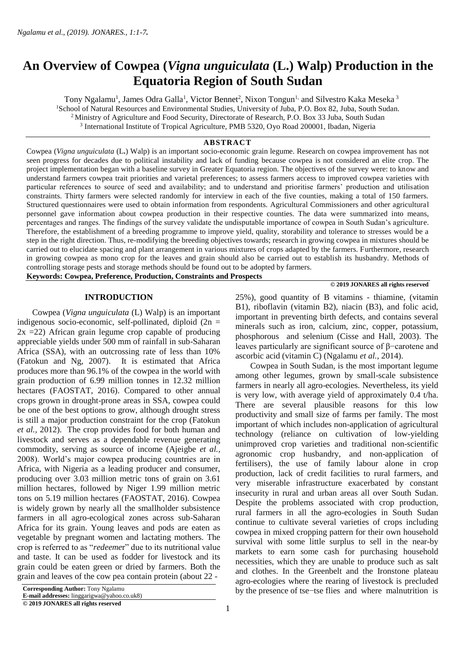# **An Overview of Cowpea (***Vigna unguiculata* **(L.) Walp) Production in the Equatoria Region of South Sudan**

Tony Ngalamu<sup>1</sup>, James Odra Galla<sup>1</sup>, Victor Bennet<sup>2</sup>, Nixon Tongun<sup>1,</sup> and Silvestro Kaka Meseka<sup>3</sup> <sup>1</sup>School of Natural Resources and Environmental Studies, University of Juba, P.O. Box 82, Juba, South Sudan. <sup>2</sup> Ministry of Agriculture and Food Security, Directorate of Research, P.O. Box 33 Juba, South Sudan 3 International Institute of Tropical Agriculture, PMB 5320, Oyo Road 200001, Ibadan, Nigeria L

## **ABSTRACT**

Cowpea (*Vigna unguiculata* (L**.**) Walp) is an important socio-economic grain legume. Research on cowpea improvement has not seen progress for decades due to political instability and lack of funding because cowpea is not considered an elite crop. The project implementation began with a baseline survey in Greater Equatoria region. The objectives of the survey were: to know and understand farmers cowpea trait priorities and varietal preferences; to assess farmers access to improved cowpea varieties with particular references to source of seed and availability; and to understand and prioritise farmers' production and utilisation constraints. Thirty farmers were selected randomly for interview in each of the five counties, making a total of 150 farmers. Structured questionnaires were used to obtain information from respondents. Agricultural Commissioners and other agricultural personnel gave information about cowpea production in their respective counties. The data were summarized into means, percentages and ranges. The findings of the survey validate the undisputable importance of cowpea in South Sudan's agriculture. Therefore, the establishment of a breeding programme to improve yield, quality, storability and tolerance to stresses would be a step in the right direction. Thus, re-modifying the breeding objectives towards; research in growing cowpea in mixtures should be carried out to elucidate spacing and plant arrangement in various mixtures of crops adapted by the farmers. Furthermore, research in growing cowpea as mono crop for the leaves and grain should also be carried out to establish its husbandry. Methods of controlling storage pests and storage methods should be found out to be adopted by farmers.

**Keywords: Cowpea, Preference, Production, Constraints and Prospects**

#### **INTRODUCTION**

 Cowpea (*Vigna unguiculata* (L) Walp) is an important indigenous socio-economic, self-pollinated, diploid  $(2n =$  $2x = 22$ ) African grain legume crop capable of producing appreciable yields under 500 mm of rainfall in sub-Saharan Africa (SSA), with an outcrossing rate of less than 10% (Fatokun and Ng, 2007). It is estimated that Africa produces more than 96.1% of the cowpea in the world with grain production of 6.99 million tonnes in 12.32 million hectares (FAOSTAT, 2016). Compared to other annual crops grown in drought-prone areas in SSA, cowpea could be one of the best options to grow, although drought stress is still a major production constraint for the crop (Fatokun *et al.,* 2012). The crop provides food for both human and livestock and serves as a dependable revenue generating commodity, serving as source of income (Ajeigbe *et al.,* 2008). World's major cowpea producing countries are in Africa, with Nigeria as a leading producer and consumer, producing over 3.03 million metric tons of grain on 3.61 million hectares, followed by Niger 1.99 million metric tons on 5.19 million hectares (FAOSTAT, 2016). Cowpea is widely grown by nearly all the smallholder subsistence farmers in all agro-ecological zones across sub-Saharan Africa for its grain. Young leaves and pods are eaten as vegetable by pregnant women and lactating mothers. The crop is referred to as "*redeeme*r" due to its nutritional value and taste. It can be used as fodder for livestock and its grain could be eaten green or dried by farmers. Both the grain and leaves of the cow pea contain protein (about 22 -

**E-mail addresses:** linggarigwa@yahoo.co.uk8)

**© 2019 JONARES all rights reserved**

# **© 2019 JONARES all rights reserved**

25%), good quantity of B vitamins - thiamine, (vitamin B1), riboflavin (vitamin B2), niacin (B3), and folic acid, important in preventing birth defects, and contains several minerals such as iron, calcium, zinc, copper, potassium, phosphorous and selenium (Cisse and Hall, 2003). The leaves particularly are significant source of β−carotene and ascorbic acid (vitamin C) (Ngalamu *et al.*, 2014).

 Cowpea in South Sudan, is the most important legume among other legumes, grown by small-scale subsistence farmers in nearly all agro-ecologies. Nevertheless, its yield is very low, with average yield of approximately 0.4 t/ha. There are several plausible reasons for this low productivity and small size of farms per family. The most important of which includes non-application of agricultural technology (reliance on cultivation of low-yielding unimproved crop varieties and traditional non-scientific agronomic crop husbandry, and non-application of fertilisers), the use of family labour alone in crop production, lack of credit facilities to rural farmers, and very miserable infrastructure exacerbated by constant insecurity in rural and urban areas all over South Sudan. Despite the problems associated with crop production, rural farmers in all the agro-ecologies in South Sudan continue to cultivate several varieties of crops including cowpea in mixed cropping pattern for their own household survival with some little surplus to sell in the near-by markets to earn some cash for purchasing household necessities, which they are unable to produce such as salt and clothes. In the Greenbelt and the Ironstone plateau agro-ecologies where the rearing of livestock is precluded by the presence of tse−tse flies and where malnutrition is

**Corresponding Author:** Tony Ngalamu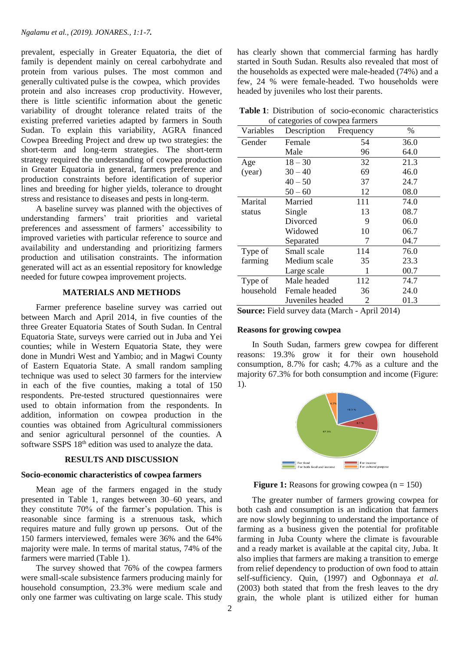prevalent, especially in Greater Equatoria, the diet of family is dependent mainly on cereal carbohydrate and protein from various pulses. The most common and generally cultivated pulse is the cowpea, which provides protein and also increases crop productivity. However, there is little scientific information about the genetic variability of drought tolerance related traits of the existing preferred varieties adapted by farmers in South Sudan. To explain this variability, AGRA financed Cowpea Breeding Project and drew up two strategies: the short-term and long-term strategies. The short-term strategy required the understanding of cowpea production in Greater Equatoria in general, farmers preference and production constraints before identification of superior lines and breeding for higher yields, tolerance to drought stress and resistance to diseases and pests in long-term.

 A baseline survey was planned with the objectives of understanding farmers' trait priorities and varietal preferences and assessment of farmers' accessibility to improved varieties with particular reference to source and availability and understanding and prioritizing farmers production and utilisation constraints. The information generated will act as an essential repository for knowledge needed for future cowpea improvement projects.

# **MATERIALS AND METHODS**

 Farmer preference baseline survey was carried out between March and April 2014, in five counties of the three Greater Equatoria States of South Sudan. In Central Equatoria State, surveys were carried out in Juba and Yei counties; while in Western Equatoria State, they were done in Mundri West and Yambio; and in Magwi County of Eastern Equatoria State. A small random sampling technique was used to select 30 farmers for the interview in each of the five counties, making a total of 150 respondents. Pre-tested structured questionnaires were used to obtain information from the respondents. In addition, information on cowpea production in the counties was obtained from Agricultural commissioners and senior agricultural personnel of the counties. A software SSPS 18<sup>th</sup> edition was used to analyze the data.

#### **RESULTS AND DISCUSSION**

#### **Socio-economic characteristics of cowpea farmers**

 Mean age of the farmers engaged in the study presented in Table 1, ranges between 30–60 years, and they constitute 70% of the farmer's population. This is reasonable since farming is a strenuous task, which requires mature and fully grown up persons. Out of the 150 farmers interviewed, females were 36% and the 64% majority were male. In terms of marital status, 74% of the farmers were married (Table 1).

 The survey showed that 76% of the cowpea farmers were small-scale subsistence farmers producing mainly for household consumption, 23.3% were medium scale and only one farmer was cultivating on large scale. This study

has clearly shown that commercial farming has hardly started in South Sudan. Results also revealed that most of the households as expected were male-headed (74%) and a few, 24 % were female-headed. Two households were headed by juveniles who lost their parents.

**Table 1**: Distribution of socio-economic characteristics of categories of cowpea farmers

| Variables           | Description                                                                             | Frequency | $\%$   |
|---------------------|-----------------------------------------------------------------------------------------|-----------|--------|
| Gender              | Female                                                                                  | 54        | 36.0   |
|                     | Male                                                                                    | 96        | 64.0   |
| Age                 | $18 - 30$                                                                               | 32        | 21.3   |
| (year)              | $30 - 40$                                                                               | 69        | 46.0   |
|                     | $40 - 50$                                                                               | 37        | 24.7   |
|                     | $50 - 60$                                                                               | 12        | 08.0   |
| Marital             | Married                                                                                 | 111       | 74.0   |
| status              | Single                                                                                  | 13        | 08.7   |
|                     | Divorced                                                                                | 9         | 06.0   |
|                     | Widowed                                                                                 | 10        | 06.7   |
|                     | Separated                                                                               | 7         | 04.7   |
| Type of             | Small scale                                                                             | 114       | 76.0   |
| farming             | Medium scale                                                                            | 35        | 23.3   |
|                     | Large scale                                                                             | 1         | 00.7   |
| Type of             | Male headed                                                                             | 112       | 74.7   |
| household           | Female headed                                                                           | 36        | 24.0   |
|                     | Juveniles headed                                                                        | 2         | 01.3   |
| $\alpha$ - $\alpha$ | $\cdots$ $\mathbf{E}^*$ and $\cdots$ and $\mathbf{I}$ are $\mathbf{A}$ and $\mathbf{A}$ | $\lambda$ | 1.2011 |

**Source:** Field survey data (March - April 2014)

## **Reasons for growing cowpea**

 In South Sudan, farmers grew cowpea for different reasons: 19.3% grow it for their own household consumption, 8.7% for cash; 4.7% as a culture and the majority 67.3% for both consumption and income (Figure: 1).



**Figure 1:** Reasons for growing cowpea  $(n = 150)$ 

 The greater number of farmers growing cowpea for both cash and consumption is an indication that farmers are now slowly beginning to understand the importance of farming as a business given the potential for profitable farming in Juba County where the climate is favourable and a ready market is available at the capital city, Juba. It also implies that farmers are making a transition to emerge from relief dependency to production of own food to attain self-sufficiency. Quin, (1997) and Ogbonnaya *et al.* (2003) both stated that from the fresh leaves to the dry grain, the whole plant is utilized either for human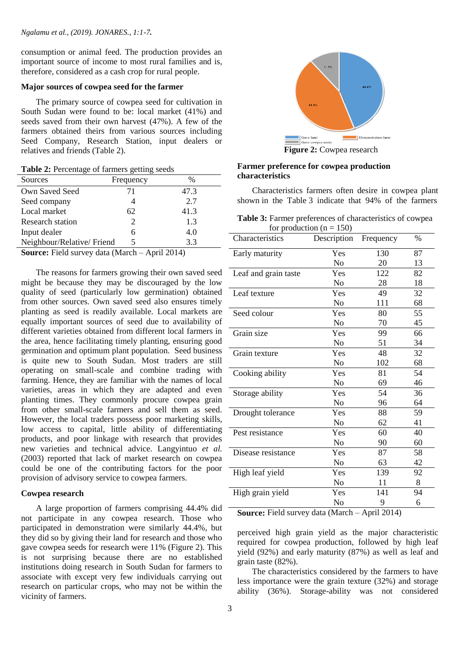consumption or animal feed. The production provides an important source of income to most rural families and is, therefore, considered as a cash crop for rural people.

#### **Major sources of cowpea seed for the farmer**

 The primary source of cowpea seed for cultivation in South Sudan were found to be: local market (41%) and seeds saved from their own harvest (47%). A few of the farmers obtained theirs from various sources including Seed Company, Research Station, input dealers or relatives and friends (Table 2).

**Table 2:** Percentage of farmers getting seeds

| Sources                    | Frequency             | %        |
|----------------------------|-----------------------|----------|
| Own Saved Seed             | 71                    | 47.3     |
| Seed company               |                       | 2.7      |
| Local market               | 62                    | 41.3     |
| <b>Research station</b>    | $\mathcal{D}_{\cdot}$ | 1.3      |
| Input dealer               | 6                     | 4.0      |
| Neighbour/Relative/ Friend |                       | 3.3      |
|                            |                       | $\cdots$ |

**Source:** Field survey data (March – April 2014)

 The reasons for farmers growing their own saved seed might be because they may be discouraged by the low quality of seed (particularly low germination) obtained from other sources. Own saved seed also ensures timely planting as seed is readily available. Local markets are equally important sources of seed due to availability of different varieties obtained from different local farmers in the area, hence facilitating timely planting, ensuring good germination and optimum plant population. Seed business is quite new to South Sudan. Most traders are still operating on small-scale and combine trading with farming. Hence, they are familiar with the names of local varieties, areas in which they are adapted and even planting times. They commonly procure cowpea grain from other small-scale farmers and sell them as seed. However, the local traders possess poor marketing skills, low access to capital, little ability of differentiating products, and poor linkage with research that provides new varieties and technical advice. Langyintuo *et al.* (2003) reported that lack of market research on cowpea could be one of the contributing factors for the poor provision of advisory service to cowpea farmers.

#### **Cowpea research**

 A large proportion of farmers comprising 44.4% did not participate in any cowpea research. Those who participated in demonstration were similarly 44.4%, but they did so by giving their land for research and those who gave cowpea seeds for research were 11% (Figure 2). This is not surprising because there are no established institutions doing research in South Sudan for farmers to associate with except very few individuals carrying out research on particular crops, who may not be within the vicinity of farmers.



 **Figure 2:** Cowpea research

# **Farmer preference for cowpea production characteristics**

 Characteristics farmers often desire in cowpea plant shown in the Table 3 indicate that 94% of the farmers

|                            | <b>Table 3:</b> Farmer preferences of characteristics of cowpea |  |
|----------------------------|-----------------------------------------------------------------|--|
| for production $(n = 150)$ |                                                                 |  |

| 87<br>Yes<br>130<br>Early maturity<br>No<br>20<br>13<br>122<br>82<br>Leaf and grain taste<br>Yes<br>N <sub>o</sub><br>28<br>18<br>49<br>Leaf texture<br>Yes<br>32<br>68<br>No<br>111<br>Seed colour<br>Yes<br>80<br>55<br>No<br>70<br>45<br>Grain size<br>Yes<br>99<br>66<br>No<br>51<br>34<br>Grain texture<br>Yes<br>48<br>32<br>68<br>No<br>102<br>54<br>Yes<br>81<br>Cooking ability<br>No<br>69<br>46<br>Storage ability<br>Yes<br>54<br>36<br>No<br>96<br>64<br>88<br>Yes<br>59<br>Drought tolerance<br>62<br>41<br>No<br>Pest resistance<br>Yes<br>60<br>40<br>No<br>90<br>60<br>58<br>Disease resistance<br>Yes<br>87<br>42<br>No<br>63<br>High leaf yield<br>Yes<br>139<br>92<br>8<br>N <sub>0</sub><br>11<br>High grain yield<br>Yes<br>141<br>94<br>No<br>9<br>6 | Characteristics | Description | Frequency | $\%$ |
|-----------------------------------------------------------------------------------------------------------------------------------------------------------------------------------------------------------------------------------------------------------------------------------------------------------------------------------------------------------------------------------------------------------------------------------------------------------------------------------------------------------------------------------------------------------------------------------------------------------------------------------------------------------------------------------------------------------------------------------------------------------------------------|-----------------|-------------|-----------|------|
|                                                                                                                                                                                                                                                                                                                                                                                                                                                                                                                                                                                                                                                                                                                                                                             |                 |             |           |      |
|                                                                                                                                                                                                                                                                                                                                                                                                                                                                                                                                                                                                                                                                                                                                                                             |                 |             |           |      |
|                                                                                                                                                                                                                                                                                                                                                                                                                                                                                                                                                                                                                                                                                                                                                                             |                 |             |           |      |
|                                                                                                                                                                                                                                                                                                                                                                                                                                                                                                                                                                                                                                                                                                                                                                             |                 |             |           |      |
|                                                                                                                                                                                                                                                                                                                                                                                                                                                                                                                                                                                                                                                                                                                                                                             |                 |             |           |      |
|                                                                                                                                                                                                                                                                                                                                                                                                                                                                                                                                                                                                                                                                                                                                                                             |                 |             |           |      |
|                                                                                                                                                                                                                                                                                                                                                                                                                                                                                                                                                                                                                                                                                                                                                                             |                 |             |           |      |
|                                                                                                                                                                                                                                                                                                                                                                                                                                                                                                                                                                                                                                                                                                                                                                             |                 |             |           |      |
|                                                                                                                                                                                                                                                                                                                                                                                                                                                                                                                                                                                                                                                                                                                                                                             |                 |             |           |      |
|                                                                                                                                                                                                                                                                                                                                                                                                                                                                                                                                                                                                                                                                                                                                                                             |                 |             |           |      |
|                                                                                                                                                                                                                                                                                                                                                                                                                                                                                                                                                                                                                                                                                                                                                                             |                 |             |           |      |
|                                                                                                                                                                                                                                                                                                                                                                                                                                                                                                                                                                                                                                                                                                                                                                             |                 |             |           |      |
|                                                                                                                                                                                                                                                                                                                                                                                                                                                                                                                                                                                                                                                                                                                                                                             |                 |             |           |      |
|                                                                                                                                                                                                                                                                                                                                                                                                                                                                                                                                                                                                                                                                                                                                                                             |                 |             |           |      |
|                                                                                                                                                                                                                                                                                                                                                                                                                                                                                                                                                                                                                                                                                                                                                                             |                 |             |           |      |
|                                                                                                                                                                                                                                                                                                                                                                                                                                                                                                                                                                                                                                                                                                                                                                             |                 |             |           |      |
|                                                                                                                                                                                                                                                                                                                                                                                                                                                                                                                                                                                                                                                                                                                                                                             |                 |             |           |      |
|                                                                                                                                                                                                                                                                                                                                                                                                                                                                                                                                                                                                                                                                                                                                                                             |                 |             |           |      |
|                                                                                                                                                                                                                                                                                                                                                                                                                                                                                                                                                                                                                                                                                                                                                                             |                 |             |           |      |
|                                                                                                                                                                                                                                                                                                                                                                                                                                                                                                                                                                                                                                                                                                                                                                             |                 |             |           |      |
|                                                                                                                                                                                                                                                                                                                                                                                                                                                                                                                                                                                                                                                                                                                                                                             |                 |             |           |      |
|                                                                                                                                                                                                                                                                                                                                                                                                                                                                                                                                                                                                                                                                                                                                                                             |                 |             |           |      |
|                                                                                                                                                                                                                                                                                                                                                                                                                                                                                                                                                                                                                                                                                                                                                                             |                 |             |           |      |
|                                                                                                                                                                                                                                                                                                                                                                                                                                                                                                                                                                                                                                                                                                                                                                             |                 |             |           |      |
|                                                                                                                                                                                                                                                                                                                                                                                                                                                                                                                                                                                                                                                                                                                                                                             |                 |             |           |      |
|                                                                                                                                                                                                                                                                                                                                                                                                                                                                                                                                                                                                                                                                                                                                                                             |                 |             |           |      |

**Source:** Field survey data (March – April 2014)

perceived high grain yield as the major characteristic required for cowpea production, followed by high leaf yield (92%) and early maturity (87%) as well as leaf and grain taste (82%).

 The characteristics considered by the farmers to have less importance were the grain texture (32%) and storage ability (36%). Storage-ability was not considered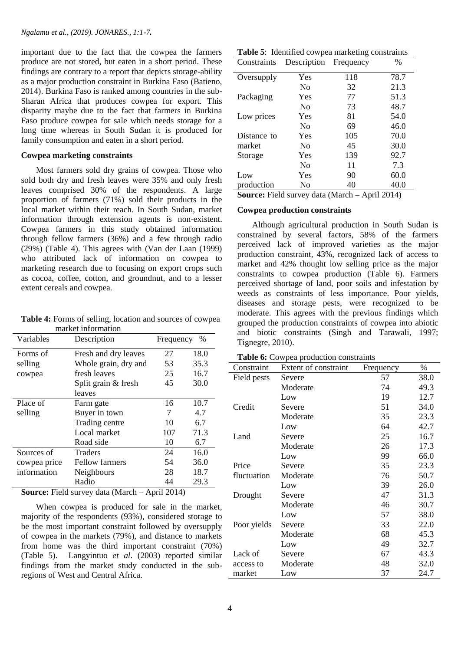important due to the fact that the cowpea the farmers produce are not stored, but eaten in a short period. These findings are contrary to a report that depicts storage-ability as a major production constraint in Burkina Faso (Batieno, 2014). Burkina Faso is ranked among countries in the sub-Sharan Africa that produces cowpea for export. This disparity maybe due to the fact that farmers in Burkina Faso produce cowpea for sale which needs storage for a long time whereas in South Sudan it is produced for family consumption and eaten in a short period.

## **Cowpea marketing constraints**

 Most farmers sold dry grains of cowpea. Those who sold both dry and fresh leaves were 35% and only fresh leaves comprised 30% of the respondents. A large proportion of farmers (71%) sold their products in the local market within their reach. In South Sudan, market information through extension agents is non-existent. Cowpea farmers in this study obtained information through fellow farmers (36%) and a few through radio (29%) (Table 4). This agrees with (Van der Laan (1999) who attributed lack of information on cowpea to marketing research due to focusing on export crops such as cocoa, coffee, cotton, and groundnut, and to a lesser extent cereals and cowpea.

**Table 4:** Forms of selling, location and sources of cowpea market information

| Variables    | Description           | $\%$<br>Frequency |      |
|--------------|-----------------------|-------------------|------|
| Forms of     | Fresh and dry leaves  | 27                | 18.0 |
| selling      | Whole grain, dry and  | 53                | 35.3 |
| cowpea       | fresh leaves          | 25                | 16.7 |
|              | Split grain & fresh   | 45                | 30.0 |
|              | leaves                |                   |      |
| Place of     | Farm gate             | 16                | 10.7 |
| selling      | Buyer in town         | 7                 | 4.7  |
|              | Trading centre        | 10                | 6.7  |
|              | Local market          | 107               | 71.3 |
|              | Road side             | 10                | 6.7  |
| Sources of   | <b>Traders</b>        | 24                | 16.0 |
| cowpea price | <b>Fellow farmers</b> | 54                | 36.0 |
| information  | Neighbours            | 28                | 18.7 |
|              | Radio                 | 44                | 29.3 |

**Source:** Field survey data (March – April 2014)

 When cowpea is produced for sale in the market, majority of the respondents (93%), considered storage to be the most important constraint followed by oversupply of cowpea in the markets (79%), and distance to markets from home was the third important constraint (70%) (Table 5). Langyintuo *et al*. (2003) reported similar findings from the market study conducted in the subregions of West and Central Africa.

|  | Table 5: Identified cowpea marketing constraints |  |
|--|--------------------------------------------------|--|
|  |                                                  |  |

| Constraints         | Description        | Frequency                              | $\%$   |
|---------------------|--------------------|----------------------------------------|--------|
| Oversupply          | Yes                | 118                                    | 78.7   |
|                     | No                 | 32                                     | 21.3   |
| Packaging           | Yes                | 77                                     | 51.3   |
|                     | No                 | 73                                     | 48.7   |
| Low prices          | Yes                | 81                                     | 54.0   |
|                     | No                 | 69                                     | 46.0   |
| Distance to         | Yes                | 105                                    | 70.0   |
| market              | N <sub>0</sub>     | 45                                     | 30.0   |
| Storage             | Yes                | 139                                    | 92.7   |
|                     | No                 | 11                                     | 7.3    |
| Low                 | Yes                | 90                                     | 60.0   |
| production          | No                 | 40                                     | 40.0   |
| $\sim$<br>$T''$ 1 1 | $1 \cdot \sqrt{1}$ | $\blacksquare$<br>$\ddot{\phantom{a}}$ | 1.0011 |

**Source:** Field survey data (March – April 2014)

#### **Cowpea production constraints**

 Although agricultural production in South Sudan is constrained by several factors, 58% of the farmers perceived lack of improved varieties as the major production constraint, 43%, recognized lack of access to market and 42% thought low selling price as the major constraints to cowpea production (Table 6). Farmers perceived shortage of land, poor soils and infestation by weeds as constraints of less importance. Poor yields, diseases and storage pests, were recognized to be moderate. This agrees with the previous findings which grouped the production constraints of cowpea into abiotic and biotic constraints (Singh and Tarawali, 1997; Tignegre, 2010).

**Table 6:** Cowpea production constraints

| Constraint  | Extent of constraint | Frequency | $\%$ |
|-------------|----------------------|-----------|------|
| Field pests | Severe               | 57        | 38.0 |
|             | Moderate             | 74        | 49.3 |
|             | Low                  | 19        | 12.7 |
| Credit      | Severe               | 51        | 34.0 |
|             | Moderate             | 35        | 23.3 |
|             | Low                  | 64        | 42.7 |
| Land        | Severe               | 25        | 16.7 |
|             | Moderate             | 26        | 17.3 |
|             | Low                  | 99        | 66.0 |
| Price       | Severe               | 35        | 23.3 |
| fluctuation | Moderate             | 76        | 50.7 |
|             | Low                  | 39        | 26.0 |
| Drought     | Severe               | 47        | 31.3 |
|             | Moderate             | 46        | 30.7 |
|             | Low                  | 57        | 38.0 |
| Poor yields | Severe               | 33        | 22.0 |
|             | Moderate             | 68        | 45.3 |
|             | Low                  | 49        | 32.7 |
| Lack of     | Severe               | 67        | 43.3 |
| access to   | Moderate             | 48        | 32.0 |
| market      | Low                  | 37        | 24.7 |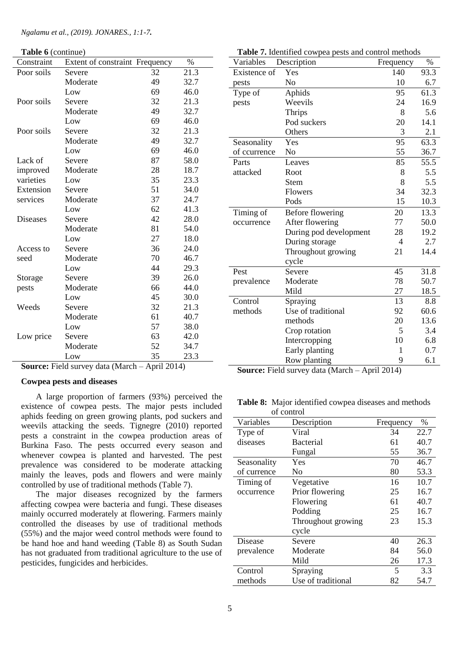**Table 6** (continue)

| Constraint      | Extent of constraint Frequency |    | $\%$ |
|-----------------|--------------------------------|----|------|
| Poor soils      | Severe                         | 32 | 21.3 |
|                 | Moderate                       | 49 | 32.7 |
|                 | Low                            | 69 | 46.0 |
| Poor soils      | Severe                         | 32 | 21.3 |
|                 | Moderate                       | 49 | 32.7 |
|                 | Low                            | 69 | 46.0 |
| Poor soils      | Severe                         | 32 | 21.3 |
|                 | Moderate                       | 49 | 32.7 |
|                 | Low                            | 69 | 46.0 |
| Lack of         | Severe                         | 87 | 58.0 |
| improved        | Moderate                       | 28 | 18.7 |
| varieties       | Low                            | 35 | 23.3 |
| Extension       | Severe                         | 51 | 34.0 |
| services        | Moderate                       | 37 | 24.7 |
|                 | Low                            | 62 | 41.3 |
| <b>Diseases</b> | Severe                         | 42 | 28.0 |
|                 | Moderate                       | 81 | 54.0 |
|                 | Low                            | 27 | 18.0 |
| Access to       | Severe                         | 36 | 24.0 |
| seed            | Moderate                       | 70 | 46.7 |
|                 | Low                            | 44 | 29.3 |
| Storage         | Severe                         | 39 | 26.0 |
| pests           | Moderate                       | 66 | 44.0 |
|                 | Low                            | 45 | 30.0 |
| Weeds           | Severe                         | 32 | 21.3 |
|                 | Moderate                       | 61 | 40.7 |
|                 | Low                            | 57 | 38.0 |
| Low price       | Severe                         | 63 | 42.0 |
|                 | Moderate                       | 52 | 34.7 |
|                 | Low                            | 35 | 23.3 |

| <b>Source:</b> Field survey data (March – April 2014) |  |  |
|-------------------------------------------------------|--|--|
|-------------------------------------------------------|--|--|

#### **Cowpea pests and diseases**

 A large proportion of farmers (93%) perceived the existence of cowpea pests. The major pests included aphids feeding on green growing plants, pod suckers and weevils attacking the seeds. Tignegre (2010) reported pests a constraint in the cowpea production areas of Burkina Faso. The pests occurred every season and whenever cowpea is planted and harvested. The pest prevalence was considered to be moderate attacking mainly the leaves, pods and flowers and were mainly controlled by use of traditional methods (Table 7).

 The major diseases recognized by the farmers affecting cowpea were bacteria and fungi. These diseases mainly occurred moderately at flowering. Farmers mainly controlled the diseases by use of traditional methods (55%) and the major weed control methods were found to be hand hoe and hand weeding (Table 8) as South Sudan has not graduated from traditional agriculture to the use of pesticides, fungicides and herbicides.

| Variables    | <b>radic</b> <i>r</i> . Relatived cowped pests and control includes<br>Description | Frequency      | $\%$ |
|--------------|------------------------------------------------------------------------------------|----------------|------|
| Existence of | Yes                                                                                | 140            | 93.3 |
| pests        | N <sub>o</sub>                                                                     | 10             | 6.7  |
| Type of      | Aphids                                                                             | 95             | 61.3 |
| pests        | Weevils                                                                            | 24             | 16.9 |
|              | Thrips                                                                             | 8              | 5.6  |
|              | Pod suckers                                                                        | 20             | 14.1 |
|              | Others                                                                             | 3              | 2.1  |
| Seasonality  | Yes                                                                                | 95             | 63.3 |
| of ccurrence | No                                                                                 | 55             | 36.7 |
| Parts        | Leaves                                                                             | 85             | 55.5 |
| attacked     | Root                                                                               | 8              | 5.5  |
|              | <b>Stem</b>                                                                        | 8              | 5.5  |
|              | Flowers                                                                            | 34             | 32.3 |
|              | Pods                                                                               | 15             | 10.3 |
| Timing of    | <b>Before flowering</b>                                                            | 20             | 13.3 |
| occurrence   | After flowering                                                                    | 77             | 50.0 |
|              | During pod development                                                             | 28             | 19.2 |
|              | During storage                                                                     | $\overline{4}$ | 2.7  |
|              | Throughout growing                                                                 | 21             | 14.4 |
|              | cycle                                                                              |                |      |
| Pest         | Severe                                                                             | 45             | 31.8 |
| prevalence   | Moderate                                                                           | 78             | 50.7 |
|              | Mild                                                                               | 27             | 18.5 |
| Control      | Spraying                                                                           | 13             | 8.8  |
| methods      | Use of traditional                                                                 | 92             | 60.6 |
|              | methods                                                                            | 20             | 13.6 |
|              | Crop rotation                                                                      | 5              | 3.4  |
|              | Intercropping                                                                      | 10             | 6.8  |
|              | Early planting                                                                     | 1              | 0.7  |
|              | Row planting<br>11                                                                 | 9<br>$\cdot$   | 6.1  |

| Table 7. Identified cowpea pests and control methods |  |  |  |  |
|------------------------------------------------------|--|--|--|--|
|------------------------------------------------------|--|--|--|--|

**Source:** Field survey data (March – April 2014)

**Table 8:** Major identified cowpea diseases and methods of control

| Variables   | Description        | Frequency | $\%$ |
|-------------|--------------------|-----------|------|
| Type of     | Viral              | 34        | 22.7 |
| diseases    | <b>Bacterial</b>   | 61        | 40.7 |
|             | Fungal             | 55        | 36.7 |
| Seasonality | Yes                | 70        | 46.7 |
| of currence | No                 | 80        | 53.3 |
| Timing of   | Vegetative         | 16        | 10.7 |
| occurrence  | Prior flowering    | 25        | 16.7 |
|             | Flowering          | 61        | 40.7 |
|             | Podding            | 25        | 16.7 |
|             | Throughout growing | 23        | 15.3 |
|             | cycle              |           |      |
| Disease     | Severe             | 40        | 26.3 |
| prevalence  | Moderate           | 84        | 56.0 |
|             | Mild               | 26        | 17.3 |
| Control     | Spraying           | 5         | 3.3  |
| methods     | Use of traditional | 82        | 54.7 |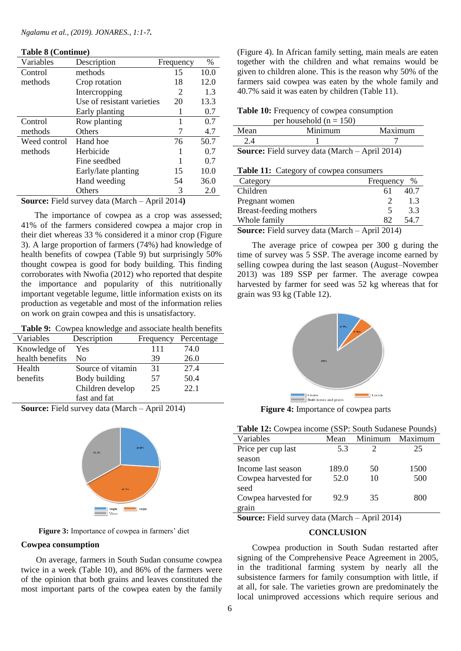|  |  | <b>Table 8 (Continue)</b> |
|--|--|---------------------------|
|--|--|---------------------------|

| Variables    | Description                | Frequency | $\%$ |
|--------------|----------------------------|-----------|------|
| Control      | methods                    | 15        | 10.0 |
| methods      | Crop rotation              | 18        | 12.0 |
|              | Intercropping              | 2         | 1.3  |
|              | Use of resistant varieties | 20        | 13.3 |
|              | Early planting             |           | 0.7  |
| Control      | Row planting               |           | 0.7  |
| methods      | <b>Others</b>              |           | 4.7  |
| Weed control | Hand hoe                   | 76        | 50.7 |
| methods      | Herbicide                  |           | 0.7  |
|              | Fine seedbed               |           | 0.7  |
|              | Early/late planting        | 15        | 10.0 |
|              | Hand weeding               | 54        | 36.0 |
|              | Others                     | 3         | 2.0  |

**Source:** Field survey data (March – April 2014**)**

 The importance of cowpea as a crop was assessed; 41% of the farmers considered cowpea a major crop in their diet whereas 33 % considered it a minor crop (Figure 3). A large proportion of farmers (74%) had knowledge of health benefits of cowpea (Table 9) but surprisingly 50% thought cowpea is good for body building. This finding corroborates with Nwofia (2012) who reported that despite the importance and popularity of this nutritionally important vegetable legume, little information exists on its production as vegetable and most of the information relies on work on grain cowpea and this is unsatisfactory.

**Table 9:** Cowpea knowledge and associate health benefits

| Variables       | Description       | Frequency | Percentage |
|-----------------|-------------------|-----------|------------|
| Knowledge of    | Yes               | 111       | 74.0       |
| health benefits | Nο                | 39        | 26.0       |
| Health          | Source of vitamin | 31        | 27.4       |
| benefits        | Body building     | 57        | 50.4       |
|                 | Children develop  | 25        | 22.1       |
|                 | fast and fat      |           |            |

**Source:** Field survey data (March – April 2014)



 **Figure 3:** Importance of cowpea in farmers' diet

## **Cowpea consumption**

 On average, farmers in South Sudan consume cowpea twice in a week (Table 10), and 86% of the farmers were of the opinion that both grains and leaves constituted the most important parts of the cowpea eaten by the family

(Figure 4). In African family setting, main meals are eaten together with the children and what remains would be given to children alone. This is the reason why 50% of the farmers said cowpea was eaten by the whole family and 40.7% said it was eaten by children (Table 11).

**Table 10:** Frequency of cowpea consumption

|                                                         | per household ( $n = 150$ ) |         |  |
|---------------------------------------------------------|-----------------------------|---------|--|
| Mean                                                    | Minimum                     | Maximum |  |
| 2.4                                                     |                             |         |  |
| <b>Source:</b> Field survey data (March $-$ April 2014) |                             |         |  |

|  |  |  | Table 11: Category of cowpea consumers |
|--|--|--|----------------------------------------|
|--|--|--|----------------------------------------|

| Category                                   | Frequency                     | %    |
|--------------------------------------------|-------------------------------|------|
| Children                                   | 61                            | 40.7 |
| Pregnant women                             |                               | 1.3  |
| Breast-feeding mothers                     |                               | 3.3  |
| Whole family                               | 82                            | 54 7 |
| $\sim$<br>$\cdots$<br>$\sim$ $\sim$ $\sim$ | $\mathbf{1}$ and $\mathbf{1}$ |      |

**Source:** Field survey data (March – April 2014)

 The average price of cowpea per 300 g during the time of survey was 5 SSP. The average income earned by selling cowpea during the last season (August–November 2013) was 189 SSP per farmer. The average cowpea harvested by farmer for seed was 52 kg whereas that for grain was 93 kg (Table 12).



 **Figure 4:** Importance of cowpea parts

| Table 12: Cowpea income (SSP: South Sudanese Pounds) |  |  |  |
|------------------------------------------------------|--|--|--|
|------------------------------------------------------|--|--|--|

| Variables            | Mean  | Minimum | Maximum |
|----------------------|-------|---------|---------|
| Price per cup last   | 5.3   |         | 25      |
| season               |       |         |         |
| Income last season   | 189.0 | 50      | 1500    |
| Cowpea harvested for | 52.0  | 10      | 500     |
| seed                 |       |         |         |
| Cowpea harvested for | 92.9  | 35      | 800     |
| grain                |       |         |         |

**Source:** Field survey data (March – April 2014)

## **CONCLUSION**

 Cowpea production in South Sudan restarted after signing of the Comprehensive Peace Agreement in 2005, in the traditional farming system by nearly all the subsistence farmers for family consumption with little, if at all, for sale. The varieties grown are predominately the local unimproved accessions which require serious and